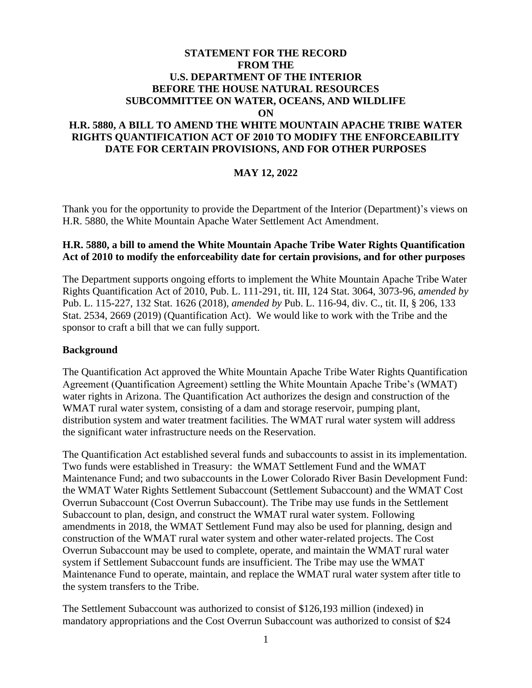# **STATEMENT FOR THE RECORD FROM THE U.S. DEPARTMENT OF THE INTERIOR BEFORE THE HOUSE NATURAL RESOURCES SUBCOMMITTEE ON WATER, OCEANS, AND WILDLIFE ON H.R. 5880, A BILL TO AMEND THE WHITE MOUNTAIN APACHE TRIBE WATER RIGHTS QUANTIFICATION ACT OF 2010 TO MODIFY THE ENFORCEABILITY DATE FOR CERTAIN PROVISIONS, AND FOR OTHER PURPOSES**

## **MAY 12, 2022**

Thank you for the opportunity to provide the Department of the Interior (Department)'s views on H.R. 5880, the White Mountain Apache Water Settlement Act Amendment.

## **H.R. 5880, a bill to amend the White Mountain Apache Tribe Water Rights Quantification Act of 2010 to modify the enforceability date for certain provisions, and for other purposes**

The Department supports ongoing efforts to implement the White Mountain Apache Tribe Water Rights Quantification Act of 2010, Pub. L. 111-291, tit. III, 124 Stat. 3064, 3073-96, *amended by* Pub. L. 115-227, 132 Stat. 1626 (2018), *amended by* Pub. L. 116-94, div. C., tit. II, § 206, 133 Stat. 2534, 2669 (2019) (Quantification Act). We would like to work with the Tribe and the sponsor to craft a bill that we can fully support.

#### **Background**

The Quantification Act approved the White Mountain Apache Tribe Water Rights Quantification Agreement (Quantification Agreement) settling the White Mountain Apache Tribe's (WMAT) water rights in Arizona. The Quantification Act authorizes the design and construction of the WMAT rural water system, consisting of a dam and storage reservoir, pumping plant, distribution system and water treatment facilities. The WMAT rural water system will address the significant water infrastructure needs on the Reservation.

The Quantification Act established several funds and subaccounts to assist in its implementation. Two funds were established in Treasury: the WMAT Settlement Fund and the WMAT Maintenance Fund; and two subaccounts in the Lower Colorado River Basin Development Fund: the WMAT Water Rights Settlement Subaccount (Settlement Subaccount) and the WMAT Cost Overrun Subaccount (Cost Overrun Subaccount). The Tribe may use funds in the Settlement Subaccount to plan, design, and construct the WMAT rural water system. Following amendments in 2018, the WMAT Settlement Fund may also be used for planning, design and construction of the WMAT rural water system and other water-related projects. The Cost Overrun Subaccount may be used to complete, operate, and maintain the WMAT rural water system if Settlement Subaccount funds are insufficient. The Tribe may use the WMAT Maintenance Fund to operate, maintain, and replace the WMAT rural water system after title to the system transfers to the Tribe.

The Settlement Subaccount was authorized to consist of \$126,193 million (indexed) in mandatory appropriations and the Cost Overrun Subaccount was authorized to consist of \$24